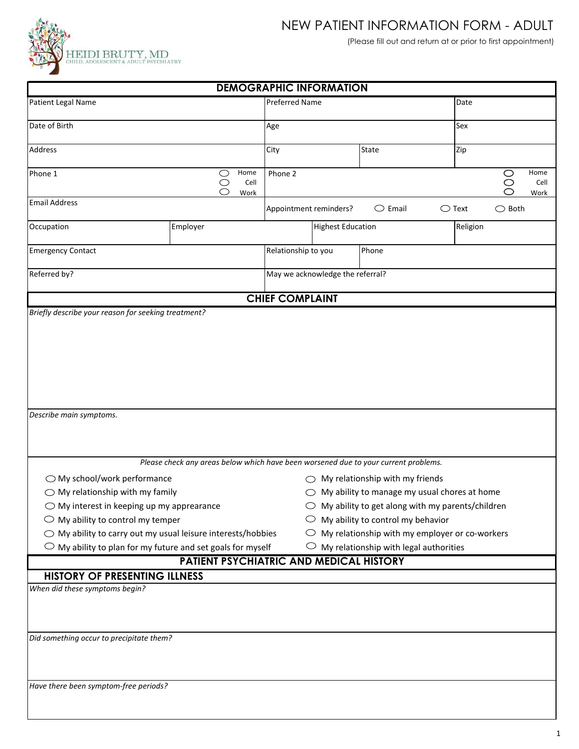

## NEW PATIENT INFORMATION FORM - ADULT

(Please fill out and return at or prior to first appointment)

| <b>DEMOGRAPHIC INFORMATION</b>                                                                                                                                                                                                                                                                                                                                      |                                                                                                                                |                                  |                          |                                                                                                                                                                   |                                                                                                                                                                                              |              |
|---------------------------------------------------------------------------------------------------------------------------------------------------------------------------------------------------------------------------------------------------------------------------------------------------------------------------------------------------------------------|--------------------------------------------------------------------------------------------------------------------------------|----------------------------------|--------------------------|-------------------------------------------------------------------------------------------------------------------------------------------------------------------|----------------------------------------------------------------------------------------------------------------------------------------------------------------------------------------------|--------------|
| Patient Legal Name                                                                                                                                                                                                                                                                                                                                                  |                                                                                                                                | <b>Preferred Name</b>            |                          | Date                                                                                                                                                              |                                                                                                                                                                                              |              |
| Date of Birth                                                                                                                                                                                                                                                                                                                                                       |                                                                                                                                | Age                              |                          | Sex                                                                                                                                                               |                                                                                                                                                                                              |              |
| Address                                                                                                                                                                                                                                                                                                                                                             |                                                                                                                                | City                             |                          | <b>State</b>                                                                                                                                                      | Zip                                                                                                                                                                                          |              |
| Home<br>Phone 1<br>$\circlearrowright$                                                                                                                                                                                                                                                                                                                              |                                                                                                                                | Phone 2                          |                          |                                                                                                                                                                   | Home<br>$\circ$                                                                                                                                                                              |              |
|                                                                                                                                                                                                                                                                                                                                                                     | $\bigcirc$<br>Cell<br>Work                                                                                                     |                                  |                          |                                                                                                                                                                   | $\circ$<br>⌒                                                                                                                                                                                 | Cell<br>Work |
| <b>Email Address</b>                                                                                                                                                                                                                                                                                                                                                | Appointment reminders?<br>$\bigcirc$ Email<br>$\bigcirc$ Text<br>$\bigcirc$ Both                                               |                                  |                          |                                                                                                                                                                   |                                                                                                                                                                                              |              |
| Occupation                                                                                                                                                                                                                                                                                                                                                          | Employer                                                                                                                       |                                  | <b>Highest Education</b> |                                                                                                                                                                   | Religion                                                                                                                                                                                     |              |
| <b>Emergency Contact</b>                                                                                                                                                                                                                                                                                                                                            |                                                                                                                                | Relationship to you              |                          | Phone                                                                                                                                                             |                                                                                                                                                                                              |              |
| Referred by?                                                                                                                                                                                                                                                                                                                                                        |                                                                                                                                | May we acknowledge the referral? |                          |                                                                                                                                                                   |                                                                                                                                                                                              |              |
|                                                                                                                                                                                                                                                                                                                                                                     |                                                                                                                                | <b>CHIEF COMPLAINT</b>           |                          |                                                                                                                                                                   |                                                                                                                                                                                              |              |
| Describe main symptoms.<br>$\bigcirc$ My school/work performance<br>$\bigcirc$ My relationship with my family<br>$\bigcirc$ My interest in keeping up my apprearance<br>$\bigcirc$ My ability to control my temper<br>$\bigcirc$ My ability to carry out my usual leisure interests/hobbies<br>$\bigcirc$ My ability to plan for my future and set goals for myself | Please check any areas below which have been worsened due to your current problems.<br>PATIENT PSYCHIATRIC AND MEDICAL HISTORY |                                  |                          | $\bigcirc$ My relationship with my friends<br>$\circlearrowright$ My ability to control my behavior<br>$\circlearrowright$ My relationship with legal authorities | $\bigcirc$ My ability to manage my usual chores at home<br>$\bigcirc$ My ability to get along with my parents/children<br>$\circlearrowright$ My relationship with my employer or co-workers |              |
| <b>HISTORY OF PRESENTING ILLNESS</b>                                                                                                                                                                                                                                                                                                                                |                                                                                                                                |                                  |                          |                                                                                                                                                                   |                                                                                                                                                                                              |              |
| When did these symptoms begin?<br>Did something occur to precipitate them?                                                                                                                                                                                                                                                                                          |                                                                                                                                |                                  |                          |                                                                                                                                                                   |                                                                                                                                                                                              |              |
| Have there been symptom-free periods?                                                                                                                                                                                                                                                                                                                               |                                                                                                                                |                                  |                          |                                                                                                                                                                   |                                                                                                                                                                                              |              |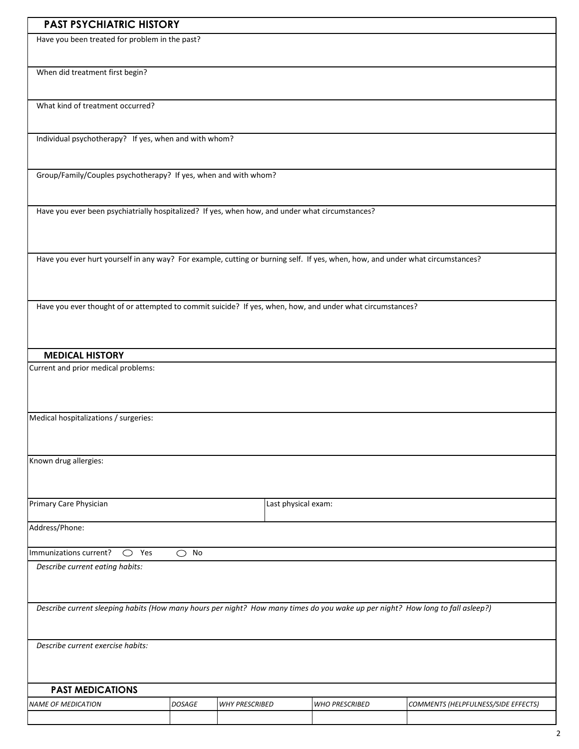| <b>PAST PSYCHIATRIC HISTORY</b> |
|---------------------------------|
|---------------------------------|

Have you been treated for problem in the past?

When did treatment first begin?

What kind of treatment occurred?

Individual psychotherapy? If yes, when and with whom?

Group/Family/Couples psychotherapy? If yes, when and with whom?

Have you ever been psychiatrially hospitalized? If yes, when how, and under what circumstances?

Have you ever hurt yourself in any way? For example, cutting or burning self. If yes, when, how, and under what circumstances?

Have you ever thought of or attempted to commit suicide? If yes, when, how, and under what circumstances?

## **MEDICAL HISTORY**

Current and prior medical problems:

Medical hospitalizations / surgeries:

Known drug allergies:

Primary Care Physician **Last physical exam:** Last physical exam:

Address/Phone:

Immunizations current?  $\bigcirc$  Yes  $\bigcirc$  No

*Describe current eating habits:*

*Describe current sleeping habits (How many hours per night? How many times do you wake up per night? How long to fall asleep?)*

*Describe current exercise habits:*

## **PAST MEDICATIONS**

| <b>NAME OF MEDICATION</b> | <b>DOSAGE</b> | <b>WHY PRESCRIBED</b> | <b>WHO PRESCRIBED</b> | COMMENTS (HELPFULNESS/SIDE EFFECTS) |
|---------------------------|---------------|-----------------------|-----------------------|-------------------------------------|
|                           |               |                       |                       |                                     |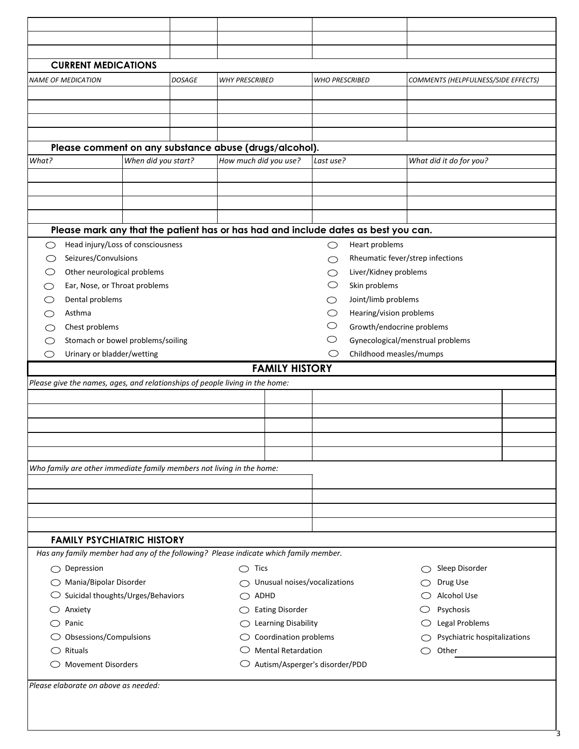| <b>CURRENT MEDICATIONS</b>                                                           |                     |               |                                              |                                |                       |                                  |                              |                                     |  |
|--------------------------------------------------------------------------------------|---------------------|---------------|----------------------------------------------|--------------------------------|-----------------------|----------------------------------|------------------------------|-------------------------------------|--|
| <b>NAME OF MEDICATION</b>                                                            |                     | <b>DOSAGE</b> | <b>WHY PRESCRIBED</b>                        |                                | <b>WHO PRESCRIBED</b> |                                  |                              | COMMENTS (HELPFULNESS/SIDE EFFECTS) |  |
|                                                                                      |                     |               |                                              |                                |                       |                                  |                              |                                     |  |
|                                                                                      |                     |               |                                              |                                |                       |                                  |                              |                                     |  |
|                                                                                      |                     |               |                                              |                                |                       |                                  |                              |                                     |  |
|                                                                                      |                     |               |                                              |                                |                       |                                  |                              |                                     |  |
| Please comment on any substance abuse (drugs/alcohol).                               |                     |               |                                              |                                |                       |                                  |                              |                                     |  |
| What?                                                                                | When did you start? |               | How much did you use?                        |                                | Last use?             |                                  |                              | What did it do for you?             |  |
|                                                                                      |                     |               |                                              |                                |                       |                                  |                              |                                     |  |
|                                                                                      |                     |               |                                              |                                |                       |                                  |                              |                                     |  |
|                                                                                      |                     |               |                                              |                                |                       |                                  |                              |                                     |  |
|                                                                                      |                     |               |                                              |                                |                       |                                  |                              |                                     |  |
| Please mark any that the patient has or has had and include dates as best you can.   |                     |               |                                              |                                |                       |                                  |                              |                                     |  |
| Head injury/Loss of consciousness<br>◯                                               |                     |               |                                              |                                | ◯                     | Heart problems                   |                              |                                     |  |
| Seizures/Convulsions<br>( )                                                          |                     |               |                                              |                                | ◯                     | Rheumatic fever/strep infections |                              |                                     |  |
| Other neurological problems                                                          |                     |               |                                              |                                | O                     | Liver/Kidney problems            |                              |                                     |  |
| Ear, Nose, or Throat problems<br>C)                                                  |                     |               |                                              |                                |                       | Skin problems                    |                              |                                     |  |
| Dental problems                                                                      |                     |               |                                              |                                | ◯                     | Joint/limb problems              |                              |                                     |  |
| Asthma                                                                               |                     |               |                                              |                                | O                     | Hearing/vision problems          |                              |                                     |  |
| Chest problems                                                                       |                     |               |                                              |                                | O                     | Growth/endocrine problems        |                              |                                     |  |
| Stomach or bowel problems/soiling                                                    |                     |               |                                              |                                |                       | Gynecological/menstrual problems |                              |                                     |  |
| Urinary or bladder/wetting<br>◯                                                      |                     |               |                                              |                                | O                     | Childhood measles/mumps          |                              |                                     |  |
|                                                                                      |                     |               |                                              | <b>FAMILY HISTORY</b>          |                       |                                  |                              |                                     |  |
| Please give the names, ages, and relationships of people living in the home:         |                     |               |                                              |                                |                       |                                  |                              |                                     |  |
|                                                                                      |                     |               |                                              |                                |                       |                                  |                              |                                     |  |
|                                                                                      |                     |               |                                              |                                |                       |                                  |                              |                                     |  |
|                                                                                      |                     |               |                                              |                                |                       |                                  |                              |                                     |  |
|                                                                                      |                     |               |                                              |                                |                       |                                  |                              |                                     |  |
|                                                                                      |                     |               |                                              |                                |                       |                                  |                              |                                     |  |
| Who family are other immediate family members not living in the home:                |                     |               |                                              |                                |                       |                                  |                              |                                     |  |
|                                                                                      |                     |               |                                              |                                |                       |                                  |                              |                                     |  |
|                                                                                      |                     |               |                                              |                                |                       |                                  |                              |                                     |  |
|                                                                                      |                     |               |                                              |                                |                       |                                  |                              |                                     |  |
|                                                                                      |                     |               |                                              |                                |                       |                                  |                              |                                     |  |
| <b>FAMILY PSYCHIATRIC HISTORY</b>                                                    |                     |               |                                              |                                |                       |                                  |                              |                                     |  |
| Has any family member had any of the following? Please indicate which family member. |                     |               |                                              |                                |                       |                                  |                              |                                     |  |
| $\bigcirc$ Depression                                                                |                     |               | <b>Tics</b><br>◯                             |                                |                       |                                  |                              | Sleep Disorder                      |  |
| ◯ Mania/Bipolar Disorder                                                             |                     |               |                                              | Unusual noises/vocalizations   |                       |                                  |                              | Drug Use                            |  |
| $\circlearrowright$ Suicidal thoughts/Urges/Behaviors                                |                     |               |                                              | ADHD                           |                       |                                  |                              | Alcohol Use                         |  |
| Anxiety                                                                              |                     |               |                                              |                                |                       |                                  |                              | Psychosis                           |  |
| $\bigcirc$ Panic                                                                     |                     |               | <b>Eating Disorder</b><br>( )                |                                |                       |                                  | Legal Problems               |                                     |  |
| $\bigcirc$ Obsessions/Compulsions                                                    |                     |               | Learning Disability<br>Coordination problems |                                |                       |                                  | Psychiatric hospitalizations |                                     |  |
| $\bigcirc$ Rituals                                                                   |                     |               |                                              | <b>Mental Retardation</b>      |                       |                                  |                              | Other                               |  |
| <b>Movement Disorders</b>                                                            |                     |               |                                              | Autism/Asperger's disorder/PDD |                       |                                  |                              |                                     |  |
|                                                                                      |                     |               |                                              |                                |                       |                                  |                              |                                     |  |
| Please elaborate on above as needed:                                                 |                     |               |                                              |                                |                       |                                  |                              |                                     |  |
|                                                                                      |                     |               |                                              |                                |                       |                                  |                              |                                     |  |
|                                                                                      |                     |               |                                              |                                |                       |                                  |                              |                                     |  |

3